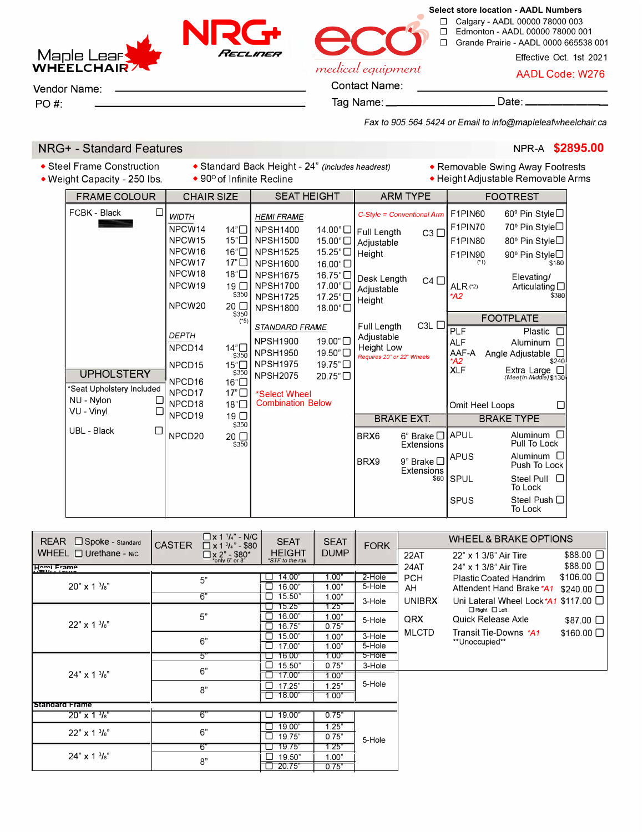☐ Calgary - AADL 00000 78000 003 ☐ Edmonton - AADL 00000 78000 001

**Select store location - AADL Numbers**

☐ Grande Prairie - AADL 0000 665538 001

Effective Oct. 1st 2021

medical equipment

**NRGt-**

*HEcL,nEH* 

AADL Code: W276

**Maple Lear WHEELCHAIR** 

Vendor Name:

PO#:

Contact Name: Tag Name: \_\_\_\_\_\_\_\_\_\_\_\_\_\_\_\_\_\_\_\_\_ Date:

*Fax to 905.564.5424 or Email to info@mapleleafwheelchair.ca* 

## **NRG+ - Standard Features NPR-A \$2895.00 NPR-A \$2895.00**

• Steel Frame Construction • Standard Back Height - 24" *(includes headrest)* • Removable Swing Away Footrests • Height Adjustable Removable Arms

| <b>FRAME COLOUR</b>                                                        | <b>CHAIR SIZE</b>                                                                                                                                                                                           | <b>SEAT HEIGHT</b>                                                                                                                                                                                                                                    | <b>ARM TYPE</b>                                                                                                                                 | <b>FOOTREST</b>                                                                                                                                                                                                                                        |  |
|----------------------------------------------------------------------------|-------------------------------------------------------------------------------------------------------------------------------------------------------------------------------------------------------------|-------------------------------------------------------------------------------------------------------------------------------------------------------------------------------------------------------------------------------------------------------|-------------------------------------------------------------------------------------------------------------------------------------------------|--------------------------------------------------------------------------------------------------------------------------------------------------------------------------------------------------------------------------------------------------------|--|
| FCBK - Black<br>□                                                          | <b>WIDTH</b><br>NPCW14<br>14"□<br>NPCW15<br>15"<br>NPCW <sub>16</sub><br>16"□<br>NPCW17<br>$17^{\circ}$ $\Box$<br>NPCW <sub>18</sub><br>18"□<br>NPCW19<br>19 <sup>°</sup><br>\$350<br>NPCW20<br>$20$ $\Box$ | <b>HEMI FRAME</b><br><b>NPSH1400</b><br><b>NPSH1500</b><br>15.00"□<br>15.25"<br><b>NPSH1525</b><br><b>NPSH1600</b><br>16.00"□<br><b>NPSH1675</b><br>16.75"□<br>17.00"□<br><b>NPSH1700</b><br><b>NPSH1725</b><br>17.25"□<br><b>NPSH1800</b><br>18.00"□ | C-Style = Conventional Arm<br>14.00" O Full Length<br>$C3$ $\Box$<br>Adjustable<br>Height<br>Desk Length<br>$C4$ $\Box$<br>Adjustable<br>Height | F1PIN60<br>60 <sup>°</sup> Pin Style□<br>F1PIN70<br>70 <sup>°</sup> Pin Style□<br>F1PIN80<br>80 <sup>°</sup> Pin Style□<br>90 <sup>°</sup> Pin Style□<br>F1PIN90<br>\$180<br>(1)<br>Elevating/<br>$ALR$ (*2)<br>Articulating $\Box$<br>\$380<br>$*$ A2 |  |
| <b>UPHOLSTERY</b><br>*Seat Upholstery Included<br>NU - Nylon<br>VU - Vinyl | \$350<br>(5)<br><b>DEPTH</b><br>NPCD <sub>14</sub><br>14"□<br>\$350<br>15"□<br>NPCD <sub>15</sub><br>\$350<br>16"□<br>NPCD <sub>16</sub><br>NPCD17<br>$17^{\circ}$<br>NPCD18<br>18"□                        | STANDARD FRAME<br>19.00"□<br><b>NPSH1900</b><br>19.50"□<br><b>NPSH1950</b><br><b>NPSH1975</b><br>19.75"□<br><b>NPSH2075</b><br>20.75"□<br>*Select Wheel<br><b>Combination Below</b>                                                                   | $C3L$ $\Box$<br>Full Length<br>Adjustable<br>Height Low<br>Requires 20" or 22" Wheels                                                           | <b>FOOTPLATE</b><br><b>PLF</b><br>Plastic $\Box$<br><b>ALF</b><br>Aluminum $\Box$<br>AAF-A<br>Angle Adjustable $\Box$<br>\$240<br>*A2<br>Extra Large <sub>[1]</sub><br><b>XLF</b><br>(MeetIn-Middle) \$130<br>Omit Heel Loops<br>$\Box$                |  |
|                                                                            | NPCD19<br>19 <sup>0</sup><br>\$350                                                                                                                                                                          |                                                                                                                                                                                                                                                       | <b>BRAKE EXT.</b>                                                                                                                               | <b>BRAKE TYPE</b>                                                                                                                                                                                                                                      |  |
| UBL - Black<br>□                                                           | NPCD20<br>20 □<br>\$350                                                                                                                                                                                     |                                                                                                                                                                                                                                                       | BRX6<br>$6$ " Brake $\Box$<br><b>Extensions</b>                                                                                                 | Aluminum $\Box$<br><b>APUL</b><br>Pull To Lock                                                                                                                                                                                                         |  |
|                                                                            |                                                                                                                                                                                                             |                                                                                                                                                                                                                                                       | BRX9<br>9" Brake $\Box$<br><b>Extensions</b>                                                                                                    | Aluminum <sub>[0]</sub><br><b>APUS</b><br>Push To Lock                                                                                                                                                                                                 |  |
|                                                                            |                                                                                                                                                                                                             |                                                                                                                                                                                                                                                       | \$60                                                                                                                                            | Steel Pull $\Box$<br><b>SPUL</b><br>To Lock                                                                                                                                                                                                            |  |
|                                                                            |                                                                                                                                                                                                             |                                                                                                                                                                                                                                                       |                                                                                                                                                 | <b>SPUS</b><br>Steel Push $\Box$<br>To Lock                                                                                                                                                                                                            |  |

| <b>REAR</b><br>Spoke - Standard | $\Box$ x 1 $'$ /4" - N/C<br><b>CASTER</b><br>$\Box$ x 1 $^{3}/_{4}$ " - \$80 | <b>SEAT</b>                       | <b>SEAT</b> | <b>FORK</b>    | <b>WHEEL &amp; BRAKE OPTIONS</b> |                                                                                                                |                  |
|---------------------------------|------------------------------------------------------------------------------|-----------------------------------|-------------|----------------|----------------------------------|----------------------------------------------------------------------------------------------------------------|------------------|
| WHEEL $\Box$ Urethane - N/C     | $\Box$ x 2" - \$80*<br>*only 6" or 8"                                        | <b>HEIGHT</b><br>*STF to the rail | <b>DUMP</b> |                | 22AT                             | 22" x 1 3/8" Air Tire                                                                                          | \$88.00 □        |
| Hemi Frame                      |                                                                              |                                   |             |                | 24AT                             | 24" x 1 3/8" Air Tire                                                                                          | $$88.00$ $\Box$  |
| $20" \times 1\frac{3}{8}$       | 5"                                                                           | 14.00"                            | 1.00"       | 2-Hole         | <b>PCH</b>                       | Plastic Coated Handrim                                                                                         | $$106.00$ $\Box$ |
|                                 |                                                                              | 16.00"                            | 1.00"       | 5-Hole         | AH<br><b>UNIBRX</b><br>QRX       | Attendent Hand Brake *A1<br>Uni Lateral Wheel Lock *A1 \$117.00 $\Box$<br>□ Right □ Left<br>Quick Release Axle | $$240.00$ $\Box$ |
|                                 | 6"                                                                           | 15.50"                            | 1.00"       | 3-Hole         |                                  |                                                                                                                |                  |
|                                 | 5"                                                                           | 15.25'                            | 1.25"       |                |                                  |                                                                                                                |                  |
|                                 |                                                                              | 16.00"                            | 1.00"       | 5-Hole         |                                  |                                                                                                                | $$87.00$ $\Box$  |
| $22" \times 1\frac{3}{8}"$      |                                                                              | 16.75"                            | 0.75"       |                |                                  |                                                                                                                |                  |
|                                 | 6"                                                                           | 15.00"                            | 1.00"       | 3-Hole         | <b>MLCTD</b>                     | Transit Tie-Downs *A1                                                                                          | $$160.00$ $\Box$ |
|                                 |                                                                              | 17.00"                            | 1.00"       | 5-Hole         |                                  | **Unoccupied**                                                                                                 |                  |
|                                 | 5"                                                                           | 16.00                             | 1.00'       | 5-Hole         |                                  |                                                                                                                |                  |
|                                 | 6"                                                                           | 15.50"                            | 0.75"       | 3-Hole         |                                  |                                                                                                                |                  |
| $24'' \times 13'_{8}$           |                                                                              | 17.00"                            | 1.00"       | 5-Hole         |                                  |                                                                                                                |                  |
|                                 | B"                                                                           | $\Box$<br>17.25"                  | 1.25"       |                |                                  |                                                                                                                |                  |
|                                 |                                                                              | 18.00"<br>П                       | 1.00"       |                |                                  |                                                                                                                |                  |
| <b>Standard Frame</b>           |                                                                              |                                   |             |                |                                  |                                                                                                                |                  |
| $20'' \times 13\frac{1}{8}$     | 6"                                                                           | 19.00'<br>⊔                       | 0.75"       |                |                                  |                                                                                                                |                  |
| $22" \times 1\frac{3}{8"$       | 6"                                                                           | 19.00"                            | 1.25"       | 5-Hole         |                                  |                                                                                                                |                  |
|                                 |                                                                              | 19.75"<br>⊔                       | 0.75"       |                |                                  |                                                                                                                |                  |
|                                 | 6"                                                                           | 19.75"                            | 1.25"       | 1.00"<br>0.75" |                                  |                                                                                                                |                  |
| $24" \times 1\frac{3}{8}$       | 8"                                                                           | □<br>19.50"                       |             |                |                                  |                                                                                                                |                  |
|                                 |                                                                              | 20.75"                            |             |                |                                  |                                                                                                                |                  |